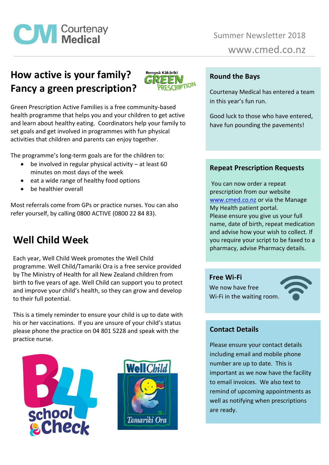

# **How active is your family? Fancy a green prescription?**



Green Prescription Active Families is a free community-based health programme that helps you and your children to get active and learn about healthy eating. Coordinators help your family to set goals and get involved in programmes with fun physical activities that children and parents can enjoy together.

The programme's long-term goals are for the children to:

- $\bullet$  be involved in regular physical activity at least 60 minutes on most days of the week
- eat a wide range of healthy food options
- be healthier overall

Most referrals come from GPs or practice nurses. You can also refer yourself, by calling 0800 ACTIVE (0800 22 84 83).

## **Well Child Week**

Each year, Well Child Week promotes the Well Child programme. Well Child/Tamariki Ora is a free service provided by The Ministry of Health for all New Zealand children from birth to five years of age. Well Child can support you to protect and improve your child's health, so they can grow and develop to their full potential.

This is a timely reminder to ensure your child is up to date with his or her vaccinations. If you are unsure of your child's status please phone the practice on 04 801 5228 and speak with the practice nurse.





#### **Round the Bays**

Courtenay Medical has entered a team in this year's fun run.

Good luck to those who have entered, have fun pounding the pavements!

### **Repeat Prescription Requests**

You can now order a repeat prescription from our website [www.cmed.co.nz](http://www.cmed.co.nz/) or via the Manage My Health patient portal. Please ensure you give us your full name, date of birth, repeat medication and advise how your wish to collect. If you require your script to be faxed to a pharmacy, advise Pharmacy details.

**Free Wi-Fi** 

We now have free Wi-Fi in the waiting room.



## **Contact Details**

Please ensure your contact details including email and mobile phone number are up to date. This is important as we now have the facility to email invoices. We also text to remind of upcoming appointments as well as notifying when prescriptions are ready.